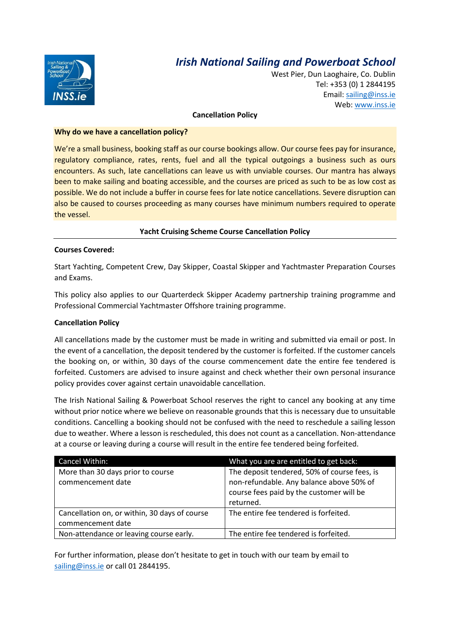

## *Irish National Sailing and Powerboat School*

West Pier, Dun Laoghaire, Co. Dublin Tel: +353 (0) 1 2844195 Email[: sailing@inss.ie](mailto:sailing@inss.ie) Web: [www.inss.ie](http://www.inss.ie/)

#### **Cancellation Policy**

#### **Why do we have a cancellation policy?**

We're a small business, booking staff as our course bookings allow. Our course fees pay for insurance, regulatory compliance, rates, rents, fuel and all the typical outgoings a business such as ours encounters. As such, late cancellations can leave us with unviable courses. Our mantra has always been to make sailing and boating accessible, and the courses are priced as such to be as low cost as possible. We do not include a buffer in course fees for late notice cancellations. Severe disruption can also be caused to courses proceeding as many courses have minimum numbers required to operate the vessel.

#### **Yacht Cruising Scheme Course Cancellation Policy**

#### **Courses Covered:**

Start Yachting, Competent Crew, Day Skipper, Coastal Skipper and Yachtmaster Preparation Courses and Exams.

This policy also applies to our Quarterdeck Skipper Academy partnership training programme and Professional Commercial Yachtmaster Offshore training programme.

#### **Cancellation Policy**

All cancellations made by the customer must be made in writing and submitted via email or post. In the event of a cancellation, the deposit tendered by the customer is forfeited. If the customer cancels the booking on, or within, 30 days of the course commencement date the entire fee tendered is forfeited. Customers are advised to insure against and check whether their own personal insurance policy provides cover against certain unavoidable cancellation.

The Irish National Sailing & Powerboat School reserves the right to cancel any booking at any time without prior notice where we believe on reasonable grounds that this is necessary due to unsuitable conditions. Cancelling a booking should not be confused with the need to reschedule a sailing lesson due to weather. Where a lesson is rescheduled, this does not count as a cancellation. Non-attendance at a course or leaving during a course will result in the entire fee tendered being forfeited.

| Cancel Within:                                                     | What you are are entitled to get back:                                                                                                            |
|--------------------------------------------------------------------|---------------------------------------------------------------------------------------------------------------------------------------------------|
| More than 30 days prior to course<br>commencement date             | The deposit tendered, 50% of course fees, is<br>non-refundable. Any balance above 50% of<br>course fees paid by the customer will be<br>returned. |
| Cancellation on, or within, 30 days of course<br>commencement date | The entire fee tendered is forfeited.                                                                                                             |
| Non-attendance or leaving course early.                            | The entire fee tendered is forfeited.                                                                                                             |

For further information, please don't hesitate to get in touch with our team by email to [sailing@inss.ie](mailto:sailing@inss.ie) or call 01 2844195.